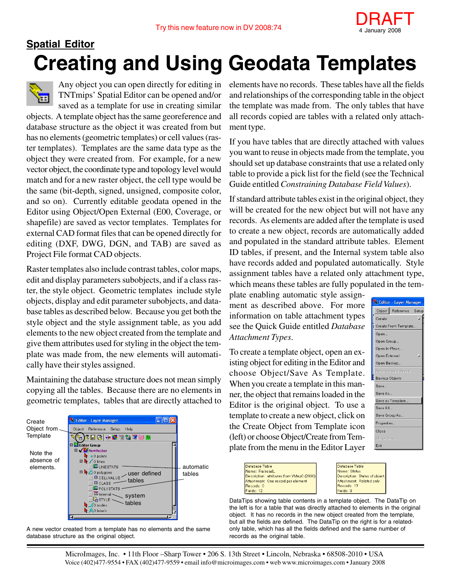

## **Creating and Using Geodata Templates Spatial Editor**



Any object you can open directly for editing in TNTmips' Spatial Editor can be opened and/or saved as a template for use in creating similar

objects. A template object has the same georeference and database structure as the object it was created from but has no elements (geometric templates) or cell values (raster templates). Templates are the same data type as the object they were created from. For example, for a new vector object, the coordinate type and topology level would match and for a new raster object, the cell type would be the same (bit-depth, signed, unsigned, composite color, and so on). Currently editable geodata opened in the Editor using Object/Open External (E00, Coverage, or shapefile) are saved as vector templates. Templates for external CAD format files that can be opened directly for editing (DXF, DWG, DGN, and TAB) are saved as Project File format CAD objects.

Raster templates also include contrast tables, color maps, edit and display parameters subobjects, and if a class raster, the style object. Geometric templates include style objects, display and edit parameter subobjects, and database tables as described below. Because you get both the style object and the style assignment table, as you add elements to the new object created from the template and give them attributes used for styling in the object the template was made from, the new elements will automatically have their styles assigned.

Maintaining the database structure does not mean simply copying all the tables. Because there are no elements in geometric templates, tables that are directly attached to



A new vector created from a template has no elements and the same database structure as the original object.

elements have no records. These tables have all the fields and relationships of the corresponding table in the object the template was made from. The only tables that have all records copied are tables with a related only attachment type.

If you have tables that are directly attached with values you want to reuse in objects made from the template, you should set up database constraints that use a related only table to provide a pick list for the field (see the Technical Guide entitled *Constraining Database Field Values*).

If standard attribute tables exist in the original object, they will be created for the new object but will not have any records. As elements are added after the template is used to create a new object, records are automatically added and populated in the standard attribute tables. Element ID tables, if present, and the Internal system table also have records added and populated automatically. Style assignment tables have a related only attachment type, which means these tables are fully populated in the tem-

plate enabling automatic style assignment as described above. For more information on table attachment types see the Quick Guide entitled *Database Attachment Types*.

To create a template object, open an existing object for editing in the Editor and choose Object/Save As Template. When you create a template in this manner, the object that remains loaded in the Editor is the original object. To use a template to create a new object, click on the Create Object from Template icon (left) or choose Object/Create from Template from the menu in the Editor Layer



| Database Table                            |
|-------------------------------------------|
| Name: RailroadL                           |
| Description: attributes from VMap0 (2000) |
| Attachment: One record per element        |
| Records: 0                                |
| Fields: 12                                |
|                                           |

Database Table Vame: Status Description: Status of object **Attachment: Related only** Records: 17 Fields: 3

DataTips showing table contents in a template object. The DataTip on the left is for a table that was directly attached to elements in the original object. It has no records in the new object created from the template, but all the fields are defined. The DataTip on the right is for a relatedonly table, which has all the fields defined and the same number of records as the original table.